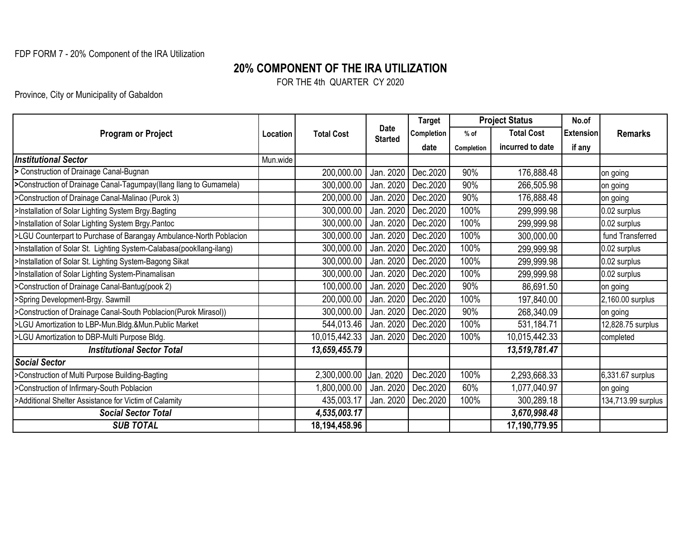## FDP FORM 7 - 20% Component of the IRA Utilization

## **20% COMPONENT OF THE IRA UTILIZATION**

FOR THE 4th QUARTER CY 2020

Province, City or Municipality of Gabaldon

| <b>Program or Project</b>                                            | Location | <b>Total Cost</b>      | <b>Date</b><br><b>Started</b> | <b>Target</b> |            | <b>Project Status</b> | No.of            |                    |
|----------------------------------------------------------------------|----------|------------------------|-------------------------------|---------------|------------|-----------------------|------------------|--------------------|
|                                                                      |          |                        |                               | Completion    | $%$ of     | <b>Total Cost</b>     | <b>Extension</b> | <b>Remarks</b>     |
|                                                                      |          |                        |                               | date          | Completion | incurred to date      | if any           |                    |
| <b>Institutional Sector</b>                                          | Mun.wide |                        |                               |               |            |                       |                  |                    |
| > Construction of Drainage Canal-Bugnan                              |          | 200,000.00             | Jan. 2020                     | Dec.2020      | 90%        | 176,888.48            |                  | on going           |
| >Construction of Drainage Canal-Tagumpay(Ilang Ilang to Gumamela)    |          | 300,000.00             | Jan. 2020                     | Dec.2020      | 90%        | 266,505.98            |                  | on going           |
| >Construction of Drainage Canal-Malinao (Purok 3)                    |          | 200,000.00             | Jan. 2020                     | Dec.2020      | 90%        | 176,888.48            |                  | on going           |
| >Installation of Solar Lighting System Brgy.Bagting                  |          | 300,000.00             | Jan. 2020                     | Dec.2020      | 100%       | 299,999.98            |                  | 0.02 surplus       |
| >Installation of Solar Lighting System Brgy.Pantoc                   |          | 300,000.00             | Jan. 2020                     | Dec.2020      | 100%       | 299,999.98            |                  | 0.02 surplus       |
| >LGU Counterpart to Purchase of Barangay Ambulance-North Poblacion   |          | 300,000.00             | Jan. 2020                     | Dec.2020      | 100%       | 300,000.00            |                  | fund Transferred   |
| >Installation of Solar St. Lighting System-Calabasa(pookllang-ilang) |          | 300,000.00             | Jan. 2020                     | Dec.2020      | 100%       | 299,999.98            |                  | 0.02 surplus       |
| >Installation of Solar St. Lighting System-Bagong Sikat              |          | 300,000.00             | Jan. 2020                     | Dec.2020      | 100%       | 299,999.98            |                  | 0.02 surplus       |
| >Installation of Solar Lighting System-Pinamalisan                   |          | 300,000.00             | Jan. 2020                     | Dec.2020      | 100%       | 299,999.98            |                  | 0.02 surplus       |
| >Construction of Drainage Canal-Bantug(pook 2)                       |          | 100,000.00             | Jan. 2020                     | Dec.2020      | 90%        | 86,691.50             |                  | on going           |
| >Spring Development-Brgy. Sawmill                                    |          | 200,000.00             | Jan. 2020                     | Dec.2020      | 100%       | 197,840.00            |                  | 2,160.00 surplus   |
| >Construction of Drainage Canal-South Poblacion(Purok Mirasol))      |          | 300,000.00             | Jan. 2020                     | Dec.2020      | 90%        | 268,340.09            |                  | on going           |
| >LGU Amortization to LBP-Mun.Bldg.&Mun.Public Market                 |          | 544,013.46             | Jan. 2020                     | Dec.2020      | 100%       | 531,184.71            |                  | 12,828.75 surplus  |
| >LGU Amortization to DBP-Multi Purpose Bldg.                         |          | 10,015,442.33          | Jan. 2020                     | Dec.2020      | 100%       | 10,015,442.33         |                  | completed          |
| <b>Institutional Sector Total</b>                                    |          | 13,659,455.79          |                               |               |            | 13,519,781.47         |                  |                    |
| <b>Social Sector</b>                                                 |          |                        |                               |               |            |                       |                  |                    |
| >Construction of Multi Purpose Building-Bagting                      |          | 2,300,000.00 Jan. 2020 |                               | Dec.2020      | 100%       | 2,293,668.33          |                  | 6,331.67 surplus   |
| >Construction of Infirmary-South Poblacion                           |          | 1,800,000.00           | Jan. 2020                     | Dec.2020      | 60%        | 1,077,040.97          |                  | on going           |
| >Additional Shelter Assistance for Victim of Calamity                |          | 435,003.17             | Jan. 2020                     | Dec.2020      | 100%       | 300,289.18            |                  | 134,713.99 surplus |
| <b>Social Sector Total</b>                                           |          | 4,535,003.17           |                               |               |            | 3,670,998.48          |                  |                    |
| <b>SUB TOTAL</b>                                                     |          | 18,194,458.96          |                               |               |            | 17,190,779.95         |                  |                    |